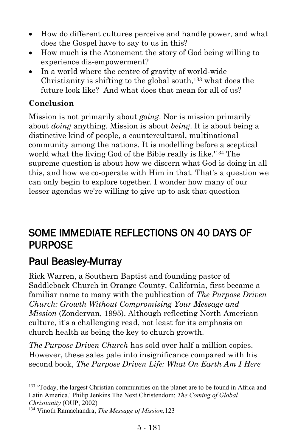- How do different cultures perceive and handle power, and what does the Gospel have to say to us in this?
- How much is the Atonement the story of God being willing to experience dis-empowerment?
- In a world where the centre of gravity of world-wide Christianity is shifting to the global south,<sup>133</sup> what does the future look like? And what does that mean for all of us?

### **Conclusion**

Mission is not primarily about *going*. Nor is mission primarily about *doing* anything. Mission is about *being*. It is about being a distinctive kind of people, a countercultural, multinational community among the nations. It is modelling before a sceptical world what the living God of the Bible really is like.'<sup>134</sup> The supreme question is about how we discern what God is doing in all this, and how we co-operate with Him in that. That's a question we can only begin to explore together. I wonder how many of our lesser agendas we're willing to give up to ask that question

### SOME IMMEDIATE REFLECTIONS ON 40 DAYS OF PURPOSE

# [Paul Beasley-Murray](https://www.ministrytoday.org.uk/magazine/authors/423/)

l

Rick Warren, a Southern Baptist and founding pastor of Saddleback Church in Orange County, California, first became a familiar name to many with the publication of *The Purpose Driven Church: Growth Without Compromising Your Message and Mission* (Zondervan, 1995). Although reflecting North American culture, it's a challenging read, not least for its emphasis on church health as being the key to church growth.

*The Purpose Driven Church* has sold over half a million copies. However, these sales pale into insignificance compared with his second book, *The Purpose Driven Life: What On Earth Am I Here* 

<sup>&</sup>lt;sup>133</sup> 'Today, the largest Christian communities on the planet are to be found in Africa and Latin America.' Philip Jenkins The Next Christendom: *The Coming of Global Christianity* (OUP, 2002)

<sup>134</sup> Vinoth Ramachandra, *The Message of Mission,*123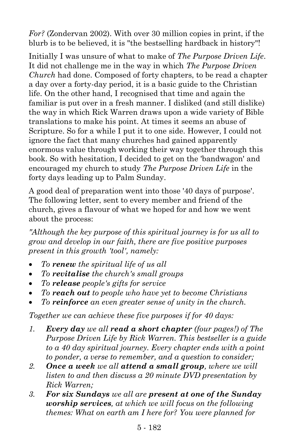*For?* (Zondervan 2002). With over 30 million copies in print, if the blurb is to be believed, it is "the bestselling hardback in history"!

Initially I was unsure of what to make of *The Purpose Driven Life*. It did not challenge me in the way in which *The Purpose Driven Church* had done. Composed of forty chapters, to be read a chapter a day over a forty-day period, it is a basic guide to the Christian life. On the other hand, I recognised that time and again the familiar is put over in a fresh manner. I disliked (and still dislike) the way in which Rick Warren draws upon a wide variety of Bible translations to make his point. At times it seems an abuse of Scripture. So for a while I put it to one side. However, I could not ignore the fact that many churches had gained apparently enormous value through working their way together through this book. So with hesitation, I decided to get on the 'bandwagon' and encouraged my church to study *The Purpose Driven Life* in the forty days leading up to Palm Sunday.

A good deal of preparation went into those '40 days of purpose'. The following letter, sent to every member and friend of the church, gives a flavour of what we hoped for and how we went about the process:

*"Although the key purpose of this spiritual journey is for us all to grow and develop in our faith, there are five positive purposes present in this growth 'tool', namely:*

- *To renew the spiritual life of us all*
- *To revitalise the church's small groups*
- *To release people's gifts for service*
- *To reach out to people who have yet to become Christians*
- *To reinforce an even greater sense of unity in the church.*

*Together we can achieve these five purposes if for 40 days:*

- *1. Every day we all read a short chapter (four pages!) of The Purpose Driven Life by Rick Warren. This bestseller is a guide to a 40 day spiritual journey. Every chapter ends with a point to ponder, a verse to remember, and a question to consider;*
- *2. Once a week we all attend a small group, where we will listen to and then discuss a 20 minute DVD presentation by Rick Warren;*
- *3. For six Sundays we all are present at one of the Sunday worship services, at which we will focus on the following themes: What on earth am I here for? You were planned for*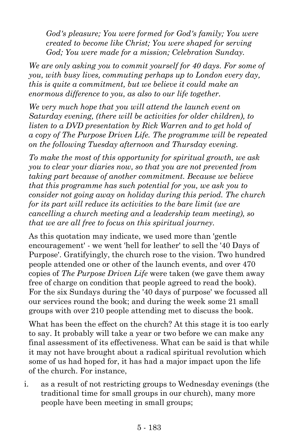*God's pleasure; You were formed for God's family; You were created to become like Christ; You were shaped for serving God; You were made for a mission; Celebration Sunday.*

*We are only asking you to commit yourself for 40 days. For some of you, with busy lives, commuting perhaps up to London every day, this is quite a commitment, but we believe it could make an enormous difference to you, as also to our life together.*

*We very much hope that you will attend the launch event on Saturday evening, (there will be activities for older children), to listen to a DVD presentation by Rick Warren and to get hold of a copy of The Purpose Driven Life. The programme will be repeated on the following Tuesday afternoon and Thursday evening.*

*To make the most of this opportunity for spiritual growth, we ask you to clear your diaries now, so that you are not prevented from taking part because of another commitment. Because we believe that this programme has such potential for you, we ask you to consider not going away on holiday during this period. The church for its part will reduce its activities to the bare limit (we are cancelling a church meeting and a leadership team meeting), so that we are all free to focus on this spiritual journey.*

As this quotation may indicate, we used more than 'gentle encouragement' - we went 'hell for leather' to sell the '40 Days of Purpose'. Gratifyingly, the church rose to the vision. Two hundred people attended one or other of the launch events, and over 470 copies of *The Purpose Driven Life* were taken (we gave them away free of charge on condition that people agreed to read the book). For the six Sundays during the '40 days of purpose' we focussed all our services round the book; and during the week some 21 small groups with over 210 people attending met to discuss the book.

What has been the effect on the church? At this stage it is too early to say. It probably will take a year or two before we can make any final assessment of its effectiveness. What can be said is that while it may not have brought about a radical spiritual revolution which some of us had hoped for, it has had a major impact upon the life of the church. For instance,

i. as a result of not restricting groups to Wednesday evenings (the traditional time for small groups in our church), many more people have been meeting in small groups;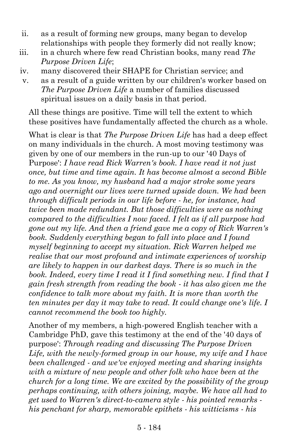- ii. as a result of forming new groups, many began to develop relationships with people they formerly did not really know;
- iii. in a church where few read Christian books, many read *The Purpose Driven Life*;
- iv. many discovered their SHAPE for Christian service; and
- v. as a result of a guide written by our children's worker based on *The Purpose Driven Life* a number of families discussed spiritual issues on a daily basis in that period.

All these things are positive. Time will tell the extent to which these positives have fundamentally affected the church as a whole.

What is clear is that *The Purpose Driven Life* has had a deep effect on many individuals in the church. A most moving testimony was given by one of our members in the run-up to our '40 Days of Purpose': *I have read Rick Warren's book. I have read it not just once, but time and time again. It has become almost a second Bible to me. As you know, my husband had a major stroke some years ago and overnight our lives were turned upside down. We had been through difficult periods in our life before - he, for instance, had twice been made redundant. But those difficulties were as nothing compared to the difficulties I now faced. I felt as if all purpose had gone out my life. And then a friend gave me a copy of Rick Warren's book. Suddenly everything began to fall into place and I found myself beginning to accept my situation. Rick Warren helped me realise that our most profound and intimate experiences of worship are likely to happen in our darkest days. There is so much in the book. Indeed, every time I read it I find something new. I find that I gain fresh strength from reading the book - it has also given me the confidence to talk more about my faith. It is more than worth the ten minutes per day it may take to read. It could change one's life. I cannot recommend the book too highly.*

Another of my members, a high-powered English teacher with a Cambridge PhD, gave this testimony at the end of the '40 days of purpose': *Through reading and discussing The Purpose Driven Life, with the newly-formed group in our house, my wife and I have been challenged - and we've enjoyed meeting and sharing insights with a mixture of new people and other folk who have been at the church for a long time. We are excited by the possibility of the group perhaps continuing, with others joining, maybe. We have all had to get used to Warren's direct-to-camera style - his pointed remarks his penchant for sharp, memorable epithets - his witticisms - his*